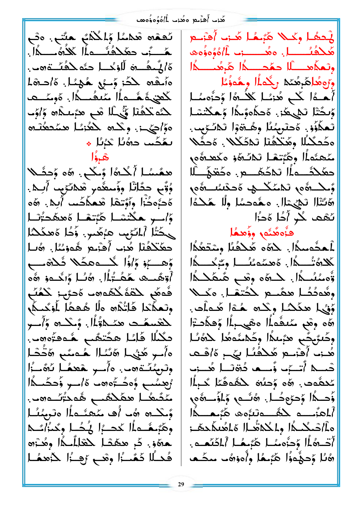ئَعْقُدْ هَٰذَا ذُلِّكَنَّكُمْ هُنَّى. هَنَّى هَــــزُب حعَكفُنْـــولَما كَلاُهُ ــــدًا. هْ/لُمُـدُـــة لّْلَوْحُـــا حِثَه حَدُّثٌــة هــد. هَ اُحْدَ اللَّهُ وَسَعَى هُمْ اللَّهُ أَوْسَلْهِ مَا اللَّهَ لمحتيدة وأملس المستشري المستحدث لِّدْهِ تَلَاهُمْا رَبُّ إِلَى الْمَرْضِ مِنْ مِنْكُلِّ مِنْكُلِّ مِنْ الْمَجْمَعِينَ مِنْ مَنْ مَنْ ەۆاكى: ولادە كەدئىل ھىئىصكتىد ىمْكْس دەْئا تْدْئا \* **ئگرؤا** همُسُل ٱكْـدَا وُلّـكَـدٍ. ۞ه وُحثُــلا وُقُعٍ حَكَانًا وِؤُمعتُم و هُكْلُرُما أُلِـكَ. هُدَّوَدُوْا وَأَوْتِهْا شَعِكْدُ بِ أَبِي هُو وَّأْسِبِ هَكْتَسْلَمْ هُبِّتْهْلُ هُمْهُدَّتْلَلْ حِجَّنَّا ٱلْمَرِّضِ مِبْهَدِ. وَّدَٰا هُعَكَّكَا حَفَّذَهُنَا هُزِمَ أَحْزَمِهِ هُءِنْدًا. هُنا وَهِــــزٍوْ وَٰإِوَٰا گُــــوصَكَلا فَـلاةَ ــــو اْوْھُــــھ هُڪُــُّذُاْ. ھُـُــا وَاگُـــەو ھُو فُەمُّم لِلْقَةُلْلُكُمُە ە ەَحَرَّى: لَلْعُنَى وتعكَّدَا فَاتْكُلُه هِلًا هُعِفًا لَمْعَدُمْ للقسفَت هنَدْوُلُمَّا. وُلْكُسْ وَأُسْرِ دكْمُلَا فَاسُل هَدَّتْهُب هُـُومَّوْوِفَ. وأَسِ هَنْيَا هَنَـْالْ هُـومَّى هَٰتُـْدَا وتربيئتّته من الأسو القعمْل تَهْمَا أهِنْسَمْ وُهِجَنَّةُهِ وَالْسِرْ وُحَصَّـٰهُا مَدُهُــا ههَدْهُــــ هُــْتُرُـــــــــه . وُسْلَـده هُـد أُڪ مُفَـعَـمُّلَّا هَـْمِهُنُـل وهَبُمشْماً الحُدْ الْمُدُّلْ وِكْبُرُاسُكُ ههَو. مُ مهْمْه كَعْلِمُكُمْ ومُنْزَه فُحِبُلا كَعُبُرُا وقَبِ رُجِبُرا كَرْهِمُ ا

لْمَحْمَا وَكَلا هُرُهَا هُـزَبِ أَقْرَبِهِ هُكُفُفُــــا. وهُــــــزم ﴾ أَأَوُووُوه وتعدَّه اللَّه حمَّد جُدًّا هَبِهُم جُدًّا وَوَهَدَاهَ بِهُمَدَا وَجَدَاْ وَجَدَوْمًا أَهْدًا كُلِّ هُٰٓ مُّاسًٰا كُلُّدُهُۢا وَجَنُّومُنَا وَبِدَّتْا تَكِيعَةٍ. هَجِدَهُوَبِدًا وَجَدَّدَا وَحَكَّنَتِي لَعِكْفُوْ. هُحِلْرِمِمُلُا وِهُــةَوْا لَـكْلَـرُمِــ. ەكدىكىلا ومُتكفتا تككلا . ةحفَلا مَعْدُماْ وِهَبِّتْهَا لَكْلُهُوْ مَكْعَدَةُو حعَكْشُـــه أَا لَــْدَهُـــــــم . هكَعْنَيْـــاْلِ ۇملىشى ئىمئىكى ئەشئىسشەر هَتَنَالَ تَجْهَدَالَ. مَحْمَدْسُلَ ولَّا حَكْدُا ىُھْھ لُكْمْ أُكُلْ هُجْلًا فأوقُدُو وؤُهمُا مْعدُّەمىدًا. كەّە ھُكھُنًا وِسْتَعْدًا كْلَاهْتُـــدًا. ەَھنىمىنْـــا وترىْـــدًا ۋْەمئىئىسكان كىۋە وقىس ھُىھّكىدا وهُددُمُه محمَّد لاحُتهْها. ومُحللا وَفِي العَكْشَا وَكَدْهِ هُـدْاً هُـداْت. هَه وقع مُنصُّداً هڤيباًا وَعكَمتْ ا وكُبرَّجكَ هرَّملاً وكَهْمُوهُا لِهِ مُلْ هُـ; أُهْ; و هَٰكُفُـُا بَيْ وَاهْـم تْسَـــمْ أَتْـــرَّب وَّصـــها دُقَائـــل هُــــزب كَحْقُوت. ۞ه وَحَلُثَ حَجْفُوقَمَّا كَـٰبِـٱلْ وَّحِــدًا وِّحَرَّهِحُــا. ۞شَــهِ وَلِمَوْـــ۞ه ألمعنَّسسه لهُ مُسْدِرْهِ هُ مُجْمَعِهِ الْمَ ومْلاَصْكُمْ أَولَا كُلاَتُعَالَ وَلَحُسَكُمْ حَصَّة أُحْدِهُماْ وَحَزْوِمُما هَرَمِهُما ٱلْمَطَّعِبِ. رَّهُ لَا وَحَذْهُواْ كَبُرْهُا وِأَوْوَرُهُ مِحْكُم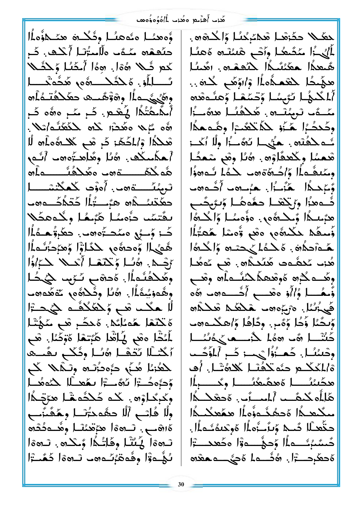وُّەھىُــا ەئەھىُــا وشُكْــە ھىُــكۈْەـاُا حنّفهُه مُنْدًى ولَّامِتُوْلِمْ أَكْفٍ. كُنْ كُم ثُـلا هُوْا. هِوْا أَحْبُا وَلِكُـلا *ئَـــــالمُ*وْ. هُ حَثَّحَـــــوهُ مِ هُدَّءتَّـــــــا وهَيْهُما وهْوْهُممه حَكَكْتُمَاهُ أَخْفُتُكُمْ لَيُعْجِدِ. كَبِرِ حَبْرِ وَهُوَ كَبِرِ رةُه سُمِلا همَّحْزَا لَمُكَ لِلْكَطَنُّهِ/مَلَّا . مْلِكُمْا وْالْمُكْمَٰ: كُرِ مْبِ ݣْلْدِيُّهَا لَٰهِ لَٰهِ أهلَمْمنكُ . هُنُا وِهُلْعِنُوهِ أَنَّمِ هَدْكُمُ ـــــةه معْكَمُتُ ــــه أَنْهُ توبمُنَـــــة10، أُهوْد لَكَـمَكْتَـتَـــــــــا حعَّدَنشُــدُه همُـــۃُلُم كَتَدُكَــــــــه ىقتئت دأەمْلم لاَبْعُل وڭدەكْلا كَّةَ وَجِبُّي مِمْجِبَّةِهِ بِ حَقَّرَةُ مِنَاءُ هُمْهَا وَوحِدُو مِكْلَةٍ وَمَرْحَزُتُمَا الْمَحْمَدِينَ رُجْهِ. هُنُا وَخْتَمْا أَسْلًا كَرَاوُا وهَٰذِهُنُمَاٰ}. هَدهَب سُرِّبٍ حَيْحًا وِهُوبُيفَالٌ. هُنُا وِفُكْلُهُم مِّقْعُدهب لًا حكْم شَح وَلِمَعْكُفُ لَيْحِمْتَهِ! ەَخْتَمْا هُەمْلگا. ەَحكّْر ھُے مَكْشَا لْمُخْلُ وقْعِ ۖ بِمُاقْدَا هَٰٓ تِنْهَا وُوَكُنَا. قَبِ ٱكْتْـلْا نّْتَـفْـا هُنْـا وِثْكُـم ىغُـــعْه لحَعُنِيًا هُنِّي حَرَّهِ حَزْنَهِ وَلَـٰكُلَّهُ كَلَّــمٍ وَحَزْهِ دُــَۃَ اللّهُ ـــۃَ اللّهَ مَعبُّلا لِكَمَهُــأَل وكرْداوْهِ. ݣُـه كَكْمُعْمَا هرْجَـٰهُا وِلًا فَاتِبِ ٱلْلَّ حَقَّدَحَٰٓتُكُمْ وِحَقَّدَٗٓنَّب ەُلەھب. ئىھەتا ھۆقىنشا وھُـەدُدُھ تْـهةاْ يُسْأُا وِهَاتُـدًا وُـتْدُه. تْـهةا لُؤُےوْٓا وِقُوتَہُرُے۞۔ تَـ۞ہُا كَمُتْرَا

حفَى حَكَّرْهُمَا هُمْتَرِيْحَتُمَا وَالْحَدْوُهِ . لِّهُ ۖ إِنَّا مَنْصُطُ إِرَّاهُـ هُنْنَـْهِ وَمِنُـلٍ هُيعِدًا حِجَّنَنْدُا لَكَعْدُ». اهْتِنْا هِجُمِدًا لِحَقِّعِدُهِ أَا وَارَوَهُمْ كُنْهُ .. أَلْمَلْكُمُوا نُوَّبِسُا وَحْسُمْا وَهِنُوهُو مَّــةُ۔ تَوِمُنْــهِ. هَٰـلَـفُـُـا هِهَْـــٰٓ;ا وكُدْدُ إِلَّ هُـزُو لِلْمُتَكْشَرَا وِهُـءهِلَا ئے حدُثہ . حنُّی ا نُہُ بُرا ولَّا اُحْد تَعمَّىٰلُ وِكَعِقَاوُهِ. هُنُا وِتَّعِ سَعْدًا ومَنْتَقَاهَ أَنْ أَيْ أَوْ وَالْهُ وَالْهُمْ مَنْ اللَّهُ مِنْ الْمُدَوَّةُ الْمُدَوَّةُ الْمُدَوَّة وَمَرْحِجُ أَلَّ هُنُوسُرًا. هُرُوسِ الْمُسَامَونَ ثَــومرُا وَرَبِّكْـا حَمُّومًـا وَبَرْجَـب هِبْمِدِهُا وَمِحْدَةُهِ. هِؤُهِمْداً وَٱلْحُدَّةُا وَّسفَه حَكْمَةُ مِنْ وَهُمْ تُوسُلُ هَٰعَتُمُا هَدَامٌ مِتْصِرٌ لَهْكُمْ . هَا كَمْ أَصْلَهُ هُن، كَمْعُوم هُنَدِكُمُ فَلَى مُعَمُّدًا وهُـــه كُثْرُه هُوهُدهكُمْ كَمُنْــه لَه وهْـــم وَّمْعُـــا وُٱأَوْ هِ تَمْــــوهِ مِنْ هُ هُ فَيْ مُنْكُمْ. هَوْمَ وه مَنْ مَسْتَمْعَ مَسْتَكْمَ هُدَيْمَ وَبِّحْنَا وَّحَا وَءَين وِجَاهَا وَٱهكْتُوهَ كَتْتْمَا هُــْ هَــْ دَهْ مَا هُمْ لَـتْتْمَ وْصْبُبُكْلِ. كُمْ زُوُّلْ يَهْبَرْ كُبِ أَمْلُوْكُت ة/الْكَلْم حِنْه تْلْفُسْا لْمْلَاهْتْما. أُف هكَسُنُّـــا هُههُهُنُـــا وِكَـــــزِلَم هَٰلِلُه جُمعٌـــد ألمســـأم. هَحعْكـــدُا مكعكا ةحفئوؤهأا مغمكمأا حتَّهـْلَا مُّـــدْ وَبِرُّـــزُّه أَا هُوِيْعِهُشُـه أَا. حٌىسٌبُتُـــواْل وَحِيُّـــوَوْل وكُعجـــــــوْل هَ حَعَظِ حَسَرَتْهَا . هُ حُسَّمَ مَا هُ حَيْنَ حَسَّمَهُ مَعْنَهُ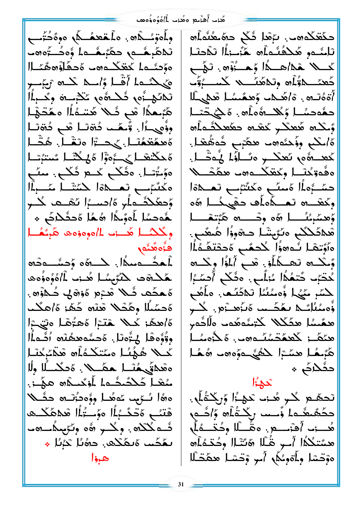هُدَبٍ أُهْنُبِهِ وهُدَبٍ لِمَاءُوُووُوهِ

وأَدْوْسُـدْ10 . هُـلْمْعْمَـدْكُمْ دُوةُحُتّْمَـب تَكَمَّدِهُـــمَ حَمَّيَــهُـــما وُهكُـــتُوهَب ەۆئىشەلم كىقكىم ھە ھەدھَاۋەھمَّىل مَيْ حَسَدُهُ أَنْفُسا وَٱلْمِدْ هُدُو تَنَّ بِهِمْ سِيرٍ تَكْتَبِيءُ وَكَلَّمَوْهِ كَتَبْرِسِينَ وِكَسِبِلًا هَبْعِدًا مْعِ ثَـلا هُتـَـهُـلًا معُتَّهْـا ووْْيِجِيرًا. وُّحْصَب دُرْوْسَا هُبِ دُرْوَسَا. هُ مِهْمَعْهُنَا. حُكْرُ. هُنْشَا، هُنْشَا، محكثها كالمؤورة المواسي المسترسل ەزىتىل ەئكى كىم ئىكى سىّ دَمَّنِي نَمِيدًا حَمَّتْهِ مِنْهِ الْمَسْرِيَّالِ وَحعَكْشُــه أَبر هَ/صبّــرْا تَــُقـــما كُـــبر هُوَصِبُلْ لِمُؤْمِدًا هُمُّا وُحَفَّلاَكُمْ \* وكُلِّمُ اللَّذِينَ بِالْمُوهَوَةِ مَا تَكْتُفُوا الْمُسَلَّمَ ڡۥؙٛ٥ۿؙٮ۫ٛڡ هُـعتُـُم شُـلاً ثَعـْبَم هُوْشَلِي شُـلاَوْنَ . ەَحسَّىلًا وهُتْمَلا شَلَه كُنَّه: ەَ/هڭم أشرعه: كملا هتم اعتُرها من المعادة وَوُّوْهِ لِيُؤْمِنُ } هُ حَسَّمَعَتَ هُمَ أَشَـٰهِ } أَ كَمْلًا هُمُمُلْ مِمْتَكْمُلُو مْتَكَبْدُلُ ەقىئاتىگى ئاسلاپ ، ئەككىلل ولل مُعْداً كُلْحُمْدُها لِمُؤْكَسِلًا هُمَيْنَ. دەُا ئىرَىم مُدھُىا وِوُدىنُك دىئىلا فَتَنُــع هُ تَـدُـبُـدًا مَوۡـــۃُٰدًا شَدۡصَّـٰـۡـمِد ئُــەلگەن . وِلْـــــو ۋە وتۆمپلەـــــەت ىمْكْس ەْبِكْكْھ. جۇڭل شۇڭل ھ هبوا

حكْفَكُدەم. ئۇقدا ئىكى دەمئىئىما تلمَّـهو هَٰـحَـفُـنُـه أَنْ هُنُوــزِياْ! تَـهْدَنَـا كُمِلًا هَمَاهِمْاً وَهُمْ زْوَهِ . تَنْهَب كَعْمُــْــاةُلُمْ وِلْـاهْلَـــْمَا لْمُسْـــرُوَّى أَةْ دَائِعْ وَاهْكِمَا وَهِمْسُلْهُ شَكِّيرًا حَقُّوصُهُ ﴾ وَلَكَ وَهُدَاهِ ﴾ وَحَكَمَتُهُمْ وَالْمَحْمَدَ وُكْده هُعكْب كْعْدِه حغَّعْلَاشُـه لُه هُ/مَكْمٍ وِوَّحْدُه» محكَّنِي شُمَّطْلِ. كَعِنْدُهِ تَعْتَقُوا وَتَسَاؤُلُمْ يُوَتْسَا. ەقەقكتىل وڭقڭدەھە ھەتمىلا حَمَّــرُه أَمْ أَمْسَلَــم مَكْتَبَمَــم تَــمَّــدَةَ وكشبه تملكه فاده حقيكا ه وُهِمُبِيْنُا هُهِ وِحْسِيهِ هَبْتِمْسَا هَٰ\$كَلاَلم وتَرُّمِشَا هـ۞ووُّا هُىعَىمٍ. وَٱوۡتِـٰهَـٰا نُـٰءِوءُۚا ۖ كُحِمَّبٍ وَحَتَنَفَـٰهُ الْـٰ وُكْمِده نْعَكْلُو. مْعَ أَلْمُوْا وِكْمُهِ عُخَبُ حُتمُمُّا ءُلَى. هِ مُكَى أَصِّبُا لْكُمُّدِ مِّنْكَارٍ وُّەمْئُنَّا لَكَكَنَّفَ. مَأْهُم ؤْەممُلْكُــدْ لەڭگىــىپ ەْلزّەتتۇر. لْخىر همَّسُا هكَكُلا كَتْمُوهُوم ولَاَدُّومِ ھككَ ئىكھىشىلەھە فىلاھىل هُمُهُا هِمَمْ الشَّرَاءُ الْمُؤْمِنَ وَهُمُوا حثُكْلُكُم \*  $\int_{\mathbf{L}}^{\rho} \mathbf{L} \mathbf{L}^n$ تحكّم كُمْرٍ هُـنم تَدْلُمْ! وَرَكْتُهُلَّى. حكْمُعْدُما وَّـــب رِكْـتُهْلُو وَإِكْــو هُــــزم أَهْزَمــــع في هَمْ الله وحُكْـــهُ) همّتكْدًا أُسو قُـُلًا هَنْتْـاا وِحُـدّـهُـلُّرَه هوْتَـمْـل وِلْمُومْكُلِ أُس وْتَـمْـل هكنّتْـللـ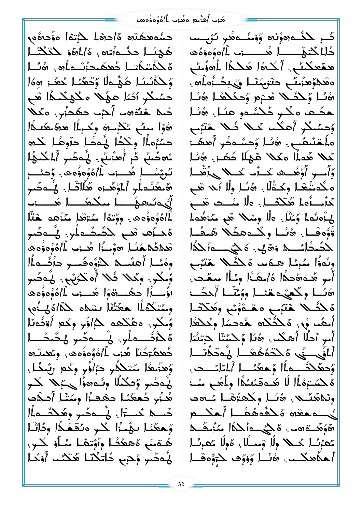حشَمعهُنَه } /حقه لابتة المؤجوه هُجِئُــا حَخُــەُتُم . هُ/اهُو كَخَكْـَـا ەَ لِلْمُتَبِّدُ لِ خَعْمُحَزُبُ عِلَمٍ . ﴿ وَلَـٰ وَحْكَمَّسُا هُهُـٓءلًا وَتَعَمَّا عُعَّ: وَهُا حسَّىٰكُر آَصُّلا مَكَّلا مكْمِكْـدَا مْـع تَىك هْنَّةه أَكْبُ حَقَّدْبُن مَكَّلًا 5ْوَا مِنْعِ كَلَّامِيةِ وِكْبِلًا هِدَهَ هَكْلُدًا حمَّبُه مُلاً وكْحُل هُءكُم حَلْوهُم كَده مُهمَّسٌ ثَمِ أُهنَّنَىْ. لُهمَّسَ ٱلْمَكْنَهُا لَرِيَّسُـــا هُــــزما ۚ الْأُهُوُهوُهِ ﴾. وِّحمَــــز ھَىعْنُـملُـر ٱلمُوَّهَــ;ە هَٰلَلْتَـٰل. إِــْــمكَــر لَّهُ صَدْرُ الْمَسْلَمَ الْمَسْرَدِ أَادُوُهوُهِ . ووُتِدًا مُنْتِهْلَ مَنْزَهِم هَتْلَ ەُھەُ ھَے كَصُحُّـەمُّى. ئُــەصَّىر هْكُكْمْهُلُمْ هُوَّــٰٓ; هُــزَــ ٱلْهُوُهوُهِ ه وەْسُل أَهسُك كَتْوُه فَسِير جَاثَــْجَلَّا وَْمِكُو. وِكَمَا ۚ قَالَ أَه نَكْرُبُعٍ . لِمُهَضَّوِ اؤُكسًا حصَّــةوْا هُـــز عَاْاهُوُهوُهِ ومَتْكَمَلُه مَعَنُنَا لِسَمَاه كَلَّاهُ لِمَّاسَ وَمِـكُـرٍ. ٥هَيْكُـعم كِبْرُوْرٍ وِكَـع أَوْثَـهِ لَـا ەْݣْفْــەلمْبى. بْـــەكىر لمەگىكــا كَعِكْتِكُلَّا هُذِبَ ۖ أَاٰهُوُهِ وُهِ مِن وَحِّعِيْدُ وَ وَهِنَمِهُا مُتَكَلِّمٍ دَبَّافُو وِكُمْ رَبُّكُلَ. لْمُعَصِّرِ وَحَكْمُلَا وِئَـهِ وَوَٰٓا لِلْمَـٰٓعِ ۚ كَلَـٰـرٍ هُـُر حُـمعَكُـا حمْدـُ أبكتْـا أُحـكَاب تْسَــمْ كُنْـــتْزَاءِ رُسُـــدَمُـلِ وِهُـلْخُـــدَمُّا وَحكَمُا بِهُـٰٓا كُـرٍ مَنْقَـٰهُا وِدًاتْـا هُـتَمنُمْ هَهَهُدًا وِأَوَّتَهْـا مُنْأَوْ لَكُـرٍ. لُّوكُبِ وَجِبِ كَاتِكْنَا هَكْتُ أَوْجُا

كَّــرِ لِللُّــدُ∞وُلُه وُوْمُشْــدەھُر لُوَّىــىب كْلِمْكْتْنْمْــــــــــــــــــزم عْلَادْوُدْوْدُه همَّعنَكْتُمِ. أَكْتُهُ اشْكَدُّا لَمُعَنَّمِ ەھْد*ۇھنُىكْ* دىتوپنىڭ بىنىشى ئەم هُنُا وَحْشَىٰ شَبْعٍ وَحِذُهُا هُنَا هضَّف ه كُلّْبِ خُلْشُومٍ هَنُا. هُنُا ۇھسّىلار أھگ ئىلا ئىلا ھَتَبَ ەلْمْنُھُّب، ھُنُـا وِّحِشُـەكُر أُهھَـٰ; كَمْلَا هُدِيَاْ مَكْمًا مُهْلًا خُشَا. هُنْا وَأَسِيرٍ أَوَهُدِهِهِ كَمِيلًا كَمِيلًا بِأَمْدِيلٍ ه نُدْشَمْه و حَـٰٓةُلاً . هُـُـا وِلًا أَيه قَبِ كَتَمِـــرُّه£ هُكْتَـــا. ولًا مُـــد قب لِخُونُه! وَعُتْلَ. ولَّا وِسْلا هُم مُنفُوم! وُّؤُوهْـا. هُنْـا وِكْــومكَلّا هَيفُـا لأَصْحُائُـــدُ وَهْلِي. هَجْهَــــوَٱلْحَدُّا ولَوزًا مُبِئًا هِمَّت هَٰذَلًا هَتَيْب أُمِرٍ هَٰدُهُكُمَا ٱلْمُمْزَٰا وِسُأَا مِمْد. هُسُا وِكُعِيْهِ مَعْسًا وَوُنْتُمَا أَحْدَجَ هَكْتُمْ هَتَبَــ مَعْــةُوُسًا وِهَٰكْتَـا أَمِمًا وُ. هَ لِأَشْلَاهِ ۖ هُءَدْسًا وِكُلُّعُا أَسِ ٱحلَّا أَهكُد. هُنَّا وَكَسُتًا حَتَّنَاهُ أَلمَغْيِبِينَ وَحَدَدَهُ هُمْسًا هُءتَدَانَــا وُحعَكِثَـــولَما وَحعَدُـــــــا أَلْمَـٰلَـــد . هَ كُمُتِهَمُّا لَّا هُـوقَسُمُّا وِلَمُعَ مُـز وتَكَفَّفْكَ، هُنُما وِكَعْتُوْصًا سُدُهِ في مستحدة مَ حَدَّدُهُ مِنْكُمْ الْمُحَمَّدِ أَةَوُهُدَةَ هُدَ مَنْ حَمْلِكُمْ الْمُنْزَحَفُ حْصَرُسًا حَسَلًا وَسَسُلًا . هُولًا حَمِرتُ ا أَهِكُمُعَكَّــبٍ. هُنُــا وُوَوِّفَ كَبَوُّهِ قَــا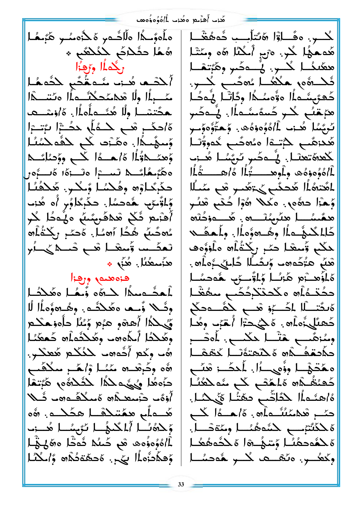ەلمۇنىڭا ەللېئەر ەلمۇمىسر ھېتىل هُمُا حثُلاَكُم لِمُلْقُبِي \* رَبَّد*اُا ووَ*قِزًا<br>اَحدَجِ هُـن مُـدسَّمَّي حدَّدما مَّــبِلَمَّا وِلَّا هَـٰهُمَّحَـٰكُمْــمِلَّا هَنْتَـــدَّا حدَّتسْه وِلَا هُنُسْمَاْهِ أَا وَاوْسْسِعْت ةُ/حكَّــرِ هَــــم حَـــمُـلِّي حكـــتْزَا بَتِــتْزا وَسَهَّمَدًا. هَمَّتَ كَبَّ حَقَّهَ حَسَّنًا وَهِمَكُمْوَٰٓئُمَّا وَاحِسُوًا كَتَبِ وِوَصَلَّكُمْ ەھَبُعْلَتُــــــا مَــــــــــوْه الْمَـــــــوْم حكْرِكْلُوْهِ وفُكْسًا وُحْكُو. هُكْفُنًا وَلِمُؤْمَىٰ هُدَمِنُا لِ حَكْبِكَاوُبِنَ أَن هُذِ اللَّهِ أَهْبَـم ثَـكُمْ شَدْفَعِيمَّـمٌ ويُـْ12 كُـر ءُهكُمْ هُدًا أهمُا. هُحمٌ رِكْتُهُاه تَمَكَّــب وَّنتَقَــا هُـــم كَـــدْيَــأَبِ هنَمهُنَّا. هُنَّى \* فزه همه ورقزا أهثَــممدُّا لِــرَهُ مُ نُهُــا مَعَلَّــُـا وثَىلا وَّسعا ەھَٰىدْشُە. وھُـەۋەلُمَا لُل يُحِكْمَا أَهِيْهِ هِبْمِ وَعُمًا حَلَّهِ مِحْكُمِ وهَٰلِكُمْ أَبِيكُوهِب وهُلِلثَوْءِهِ وَهُمَكْنَا هُ وَكُمْ أَحُدُهُ لَكُكُمْ هُمْتُكُمْ. ، وَمَ وَحَبَّسَــ مَمَّــا وَالْمَــرِ مَكْفَـــّ حَوْمَنَا وَالْمَسْهَدِ الْمُكْمَنِينَ الْمَوْمَنَاتِ أُوْةَبْ جَزْمَعْكُمْ وَمَكْكُمُوهِ فَكُلّا هُــولَم همُتَنكُ اهكُــد و هُو وَحْدَهُنَـٰا ٱلْمُحْدِيُّـٰا تَوَّبِسُـٰا هُـــ;ٮ أَاهُوُهوُهِ هُمْ شَمْلًا شَمَنْنَا هِ مَا يَشْلَلْ وُهلَادَۥُهلَا بِيَىٰ. هُحقّةتُدُه وُاسْكْنَا

كُــــرِ. هِڡُـــاوْٓا هَنُنَابِــب خُمعُقْـــا هُدمهُا كُر. هُنْ أَسْلًا هُه مِمْتْل ههَٰىئُما كُبِّ فُ وَحَمَدٍ وِهَبَتَهُمَا ثَكِــوُّہ مِكْفُــاً مُوصَّــ كَـــرِ.<br>حَعَيْهِشَــمال ووُّمسُــدا وِجَاتَــا كُــوحُــا ھرِّمَّے گے کُسَّمَشُّے)۔ فُےحَی لَّحِهُمَا هُـ: ﴿ أَاٰهُوُهِ وَهُ۞. وَحَتَّوُّهُ وَمِـ هُدرْهُبِ جَرْبَـٰهَا مُهمَّبٍ يُدوِرُّنَـالَ لكعة تعلّل فُءحُس نُنْهُا هُـزِب مْأَادُوُدِدُهُ وِلْمُوهَبِ يُزْأَلُ دَاهِــــتُّذَا للْمُتَمَمَّلَ الْمُحَمَّى مِتَمَتَّرَ مِنْصَدِ الْمُمْتَمَّلَ وَحْوَا حَدَّةٍ وَمَكَلًّا رَهُوٓاً حُكْمٍ هَنَّو همَّسُــــا هنَّومُنْــــــه . هَـــــووَحُلَه كْلِلْكُنْهُـٰ هَٰلًا وِهُـٰدُوفُواً!. وِلَمْعَـٰـٰلا لْمَكُمْ وَّسْعْدَا حَبْ رِكْتُمْلُو مْلُوْوُهِ هْنَمْ هَ تُحَده وَ مُسَّلًا هُلِينٍ وَ هُ مِنْ . ەْلمۇھىتو ھازئىل ۆلمۇسىر ھەدىئىل ددُتّەٰلُە ەڭدىتترىھُىپ مىھُغْل ەُىثَتْــْلَا لمَّـــَمِّ قْتــــى لْــڤــــەدْكى كَعْتَلِيَّةُ أَمَّامٍ. كَانِيْ كَتَبَرَّأْ أَنْقَبُتْ وِهُـا وسُرْهُب هَنْسًا حكْسبٍ. أُوْصَبِ حكْمَعْهُ ـ كَمْ مَكْتَعْتَهُ ـَــا كَتْعَهْـ ا ممَّدِّهْهَا وِؤُهِي أَلِي أَحدُ عَنَّــعِ كَعْنَقْAُه مَلْعَصْ كُلّ مُعْطَفُلًا<br>هُ/هنُـملُا حْثَاثَب حقْتُـا هَيْحـُـا. حَسِّمِ هُدْمُمُلُنُّے، وَاْحِسَهُ الْمَحْسَمِ هُ كَنُتَرْبٍ كِنُعِمُنُكُ وَعُنْدَلٍ. هَ كَمُوحِفُنُـل وُسْمُ ـ ۞ ا هَ كَدُوهُعُــل وكعُصُو. وتُمْسَمَد كُسْوِ هُوصُسًا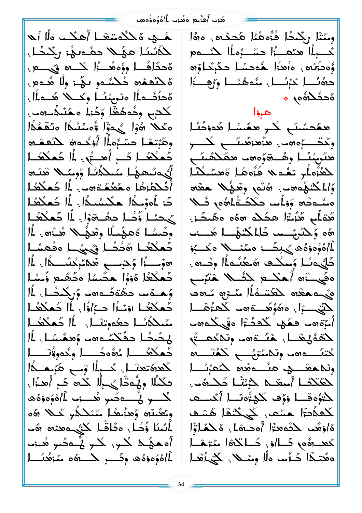هُـــمِــ هَـحَكْمتِمْــا أَهكُــد ولَا أَحِد لِكُلِّئِينَا عَهَلًا حَقَّوبُهُ: رَجَّدَكَا. هُحجَّاهُما وِوُهِ هُمْ أَلْمَ لَهُمْ وَيُنْ هُوَ . هُ كَنُفْعُوهُ كُلْمُئُمُو بِيَنْ: وَلَا شُمْعَ كَحَاثُـــٰهَــٰمَا ا مِنْـِهِــُــا لِــَــٰهِــٰهِــٰ لَا تَعْـــٰمَـٰهَا بِـ لْكَتْبِ وِثُمَعُقْلَ وَكُنا مَعْنُدُكُوهِ . هَمُعَلَّا هُوْا يُهَوَّا وُّمِنُمَاهُ الْمَقْمَاهَ وهَّتِمْا حِمْدُه أَا أُوجُده كَنْعِمْ هِ كَعِنْكُمَا كَبِ أُهْتُىٰ. لَمْ كَعِنْكُمَا لَّهُ صَدْهُا مَعْلَمُنَا وَوِمَكَ هَنْدُ أَثَلاهُ;هُل معُعُمُّة هب. لَمْ كَعِلْكُمْ جَزِ لَمَوْسِمًا هِكْسُبِمَا. لَمَا جَهَكْعُمَا حْكِمْنَا وَّحْسَا حَمُّـةَوْلَ. لَمَّا حَمْكَمْـا وَحَسُلٍ هَ عَهَّسُلًا وِتَعَهُّـــةٌ هُــْرَهِ . لَمَا كَمْلَاهُـا هَٰدُـًا فَيْحِيُـا هِفُمِنْـا هؤسارًا وَجِب هَدَيْكِتُسِيدًا. لَمَا كْعِنْكْلَا هُوْرًا حَكَّىسًا وكُتَّىم وَّسُلَ وَّهْلُمْ مَدَّقَدُلُّهُ مِنْ وَمِكْتَشَارِ. لَمَّا كُمْكْتُما اوْسُرًا حِبَّارُا. لَمَّا كُمْكْتُما مُمحَكُّنُــا حعَّدوتِنْــا . \_أا حُمحُهُــا لْمُحَمَّلْ حَفَّكْمُ وَهَدَ وُهَعَمْمَا . لَمَّا كَمْكْشُكْ لْمُؤْهِدُكْ وِخْدُوَّتْكْتْ للعدة تعبّل مُبال وْبِ هُبُعَا دكْمُلَا وِهُءَخْا يُحِبِلًا كَدَهِ ضَرِ أُهْدُا. لْكَــــرِ فُـــــــــوَكَــرِ هُــــــزَى لْمُأْهُوُهِوَهُ۞ وتَعَمَّلَهُ وَهَزَّمْهَا مَتَعَلَّكُم كَمَلًا هَهِ لَمُمُّا وَّحُـا. وَكَاقَّـا كُنُّيْ؎هِدُه ۞ أَه هَيْكُمْ لُحُسٍ لَا يُرِ فُسْهَضُو هُنْ مَا أَاهُوُهوَهُ وكُـــرٍ ۖ لَــــوَّه مُنقُصُـــا

ومَتْنَا رِجُدْهَا هُزُوهُمْا هَٰدِدْي وَوَٰا كَــــرِدًا محَمَدٍ أَو حَمَــــرَّوهُ اللهَـــومِ وَّەدَرُتُهِ فَاُهْدًا هُوصُل مَذْبِكَلُوْهِ دەُنَـــا تْبُنَـــا. مْدَهْنَـــا وَوَهِـــزًا ەدخُلاھُ ، ، حبوا همّحسّسٌ كُلّب همّسُل هُدوَحُنُل وكمقسمِّه00. هنَّاهائكسم كسسو هنَّرِبِمُنُــا وهُـــةوَهِ٥٥ هِهَكُمْسَــع لْمُذُهِمُ لَهُمَلا فُزُوهُا هُمْسُكُنَّا وَٱلْمُخْتَبِّصَةِ وَمِنْهُ وَمَعَيْنَا حَقَّةِ ەمئىەتەھ ۆزلەت تىلاشقا ھەر ئىللا هُتَمَلِّعٍ هُذُبَّا هَڪُّهُ هؤه هَغُمُڪُزَ. هُهِ وَكَبُرِبُـــب خَلِّلَكُنَّهُـــــــل هُــــــزب مْ الْمَدَّةِ مِنْ مَمْتَحَمَّةٍ مِنْ مَسْلَمَةٍ مِنْ مَنْ مَنْ مَنْ مَنْ مَنْ مَنْ كْلّْكِمْنَا وُسْكُـْكَ رَهُمْئُـُمْاً وَحْـَـرَهِ . هَ أَمْكُمْ لِمُشْدَ الْمَنْبَابِ وأصد والمستفكر معقد عرزه لِّتَيْنَ إِنَّ هُؤُهُمْ تَهْمَى كَلْعَتُوهَا أَعْرَىٰهَ مِمَّمٍ لَاَهْدُّرَّا مِتَّى لَاهِ مِنْ الْمَرْسَمِينَ لأشفكه معتقده بالتفرف فكم وتمععثهم عنْدهُم حُمْدُنُدا لْمَحْدْمَا أُسِعْكُ كَبْتْلُ كُكْرَةٌ .. َكْتُؤُهِ هَـــا وَوُفَ كَلِهَةُ هِ لَـــــــــا أَكُـــــــعَبِ كَعِمْدَ الْمَسْمِرِ. كَيْخْتَفَا هُسْم هُ/وْهُب حَثَّدُها أُودِرْهَا. وَحَصَّارْوا كعددُه، كَالُوْ. كَاتَحْوْا مُتَوَّمَّا هَقْتُمْا كُنُومٍ هِلْا وِسْمِيلاً بِ كَيْهَدُهُمْ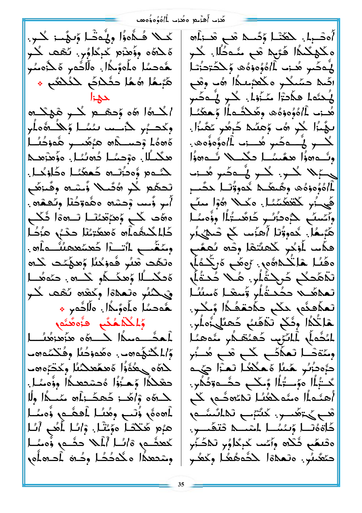كْمِلًا فُخْوَوُا وِهْوَشَا وَبِهَْمَ: كُنْتِي. ەَ ݣُەه وۆھزە كېڭلۇپ. ئېھە كى َـِّقُوْصُلُمْ مَلُومُّكُمْلُ. وَلَاضُورِ وَ*َحْ*زُومُنُو هَبْسُا هُمَا حَثَلاَكُمْ لَمُلْاهُمْ \* حمزا الْحَدَّةُ اللَّهُ وَحَشَـْع كُــرِ هُمْكُـــرَه وكحسرُبِ لأَنْسَسَا بَنْسُلُ وَلِلْكُوهُ مِلْبِ ەھەم ۋحسىگە ھۇھُسىر ھُەزكُسُل ھڭىـلا. ەۋجىئــا ئەئئىـا. ەۆھزەھــە لِكُنُومِ وُودُتُن، كَعِمْدُا وَكَاوَكُمَا. تحكّم لُمْ هُثَمِلًا وَّسْسُهِ وِقَبْهَمْ أُس ؤُسب وْحسْنَ هِ هُوَدُلَا وتُحقَّنَ . ەھَت كُنى وُھرِّقْعُنْسَا نَسْھَةَا فَكُنى كْلِلْكْتْفُەلُّە ەْھغَتْتْلْ حْدْبُ ھَزُكْلْ ومَنْقُبِ لِمُتَسَرَّا خَعْمَعْهِمُنَّسُماً وَ. ەتھَت ھَىُر فُودُنُا وَمَوْعَت كَــْه ەَدېڭسىلا ۋەدخىسكو تېلىسى دېئەھىسا فيحلئو وتعذةا وكنفته تثقف لمح هُدَمَنُا مَأْدَوُمُدًا. وَلَاَثُدَرِ \* وَٱلْمُلَاهُنَّى ۖ فَأَوْهُنَّهِ ۖ وَٱلْمُخْتَبِّهُ٥٥ - . ٥ هُدَوْحُلًا وقُخْتُمُ٥٥ -لمعاه بمفدوه أوه من المنتسب المستحق المستحق والمستحق المنتصر من المستحق المستحق المستحق المستحق المستحق المستح حفَّلاُا وُحَنُّوُّا ەُحسْتَعَـدُّا وِوُّەمْـا. كْتِهُهِ وْاهْدِ دُهِدَٰ زَاهِ مَمْكُمْ! وِلَا ـ أەەەبُ وُتَىــ وِهُنُــا ـ أَعـَقُــە وُومئــا هَ؛م هُنْدْشَا هَوُسْلَ. وْٱسَٰا لَمُعْي ٱسَٰا كَعثُمِ وْالْمَا أَلْمَلا حَثْمٍ وُْمِيْهِ وشحعكا مكْدْحُـا وحُـث لمْـحامْدِ

أُهشَــرِــا. ۖ كَكَتْـَـا وُصَّـــدا هَـــع هَـــزَاه ەڭكەڭدە قۇيد قى شەڭلا. گىر لْعَصُّرِ هُـزم لْمُأْهُوُهِوْهُ، وَلِكْتَرْحَزُمْا اضُهْ حسَّىٰكُمْ مَكْعَبَّىلْمَا اهُبْ وِهْم لْحِثَما هِكُوتَا مُنْزَوْءَ. كُبِرِ لِنُـمَصَٰرِ هُــزم ـٱ/ەُوُەوەُھ وِهُـٰلِكُــٰهِ أَ/ وَـِٰعِمَٰنَـٰ ا ىئْمَزًّا لَكُمْ رَفْ وَعِنْكُمْ خَرْهُمْ عُقْدًا. لُكْسِرِ فُي حَصَّرِ هُـــزَمَ ۖ أَأَاهَ وَقَوْهِ مِنْ وتُــدهؤا همَّسُــا حكْنـــلا تُــدهؤا لیکڑیا گلو، گلو ٹی عکس هُنام ـٱلْهُوُهِوَهُ۞ وصَّحَكَــهُ خُدووُّنْــل حَدَّـــر فَيْ أَنْ يَحْقَقَصَهَا. وَكَمَلاً هُوْا سِنَّع وأَمُسَكِّ كَبُودَٰٓتُـٰدٍ خَاهُّدَۃُّلَٰا وِؤُومُـٰٓلِ هُبُمُلَ. خُدوِقُوْا أَهْنَس كُمْ شَمْكِلُو عكَمس لَمْكُمٍ كَلْعَتَّنْهَا وِدْهِ يُهِمَّى ەقئا ھاڭكەۋەر. ئوقى ەرتكىماً تَمْعَحَكُمْ حُرِكْتُمْبُر. مُثَلًا حُدَّتُمْكَم تعلاهُـــلا ححُـدَـةُـلُو وَّسعْــل هُمسُـُـل تعكِّفه حكَّم حكَٰضَعُكُمُّا وُحكوب َهْلِتُكُلُّا وِثُكُمْ نَفْضُهُ خُعْنُلٍ. وَمُلِيَّن لْمُثْمِلُمْ لْمَلْتَىْ، خَعْنْقْلُمْ مْدَهْمَا، وسَّةَدَّا تَعَدَّكَبِ كُلِّ قَبِّ هُــزُرِ دَوْدَتُو هَمَا هَ هَكْهَا تَعْزَا تَهْتُ الْمَسْرَةِ كَــٰٓئُمُّالٍ وَمُـــۃُمُّا وَّعكَـــح حَصَّــوقِكُمْرٍ. أهنَّـه أا منَّه حَمَّنًا تَمَّته خُـم كَـم كَاةَهُنَــا وَبِئْسُــا لِمْسَـــد قَنْفُــــو. ەقىمّى ئىكلاھ وآئىپ كېگاۇپر تىلاكتو دَىْقْىسُو. وتىماۋا لادْدەھْھْل وكھُبو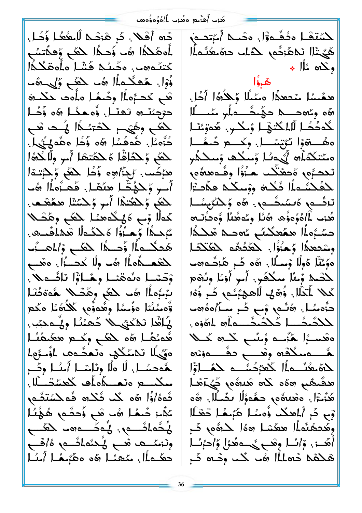دْه أَفْلا . ثُم مْزْتُـٰهِ لَّاعْعُدًا وَّدُلْ. لِمُحَكِّدًا هُـ وَّحـدًا حَقّع وِّعدَّتـُب كتئەھە وكليك فَشْلَ ولمُوقىلِدُ ؤُوْا. هُڪِدُه اُ هُـ حَكَمِ وَلِي هُـ هْمِ كَحَبُّهاْ! وِحُـمُـا هاْهِت حَكْــة حرْجِنْنَـه نَعْنَـا. ؤُهمْنُـا هُه وَّتُـا لمكُم وهُيْمٍ لِمُشْدُمُ لَهُتَ شَمَّ دُّوْماً. هُوصُمًا هَو زُدًا وهُولِيُّ). لكَمْ وُلِدُاْقْا هَلِكْتَهَا أَسِ وِلَائِكَمُا هِبْصَبٍ رَجِبُهُ هِ وَ الْحَكَمِ وَحَبَّتْ ا أُسِرٍ وَحَذَيْشًا مِنَصًا. فَعَذُّه أَا هُب لْمَعَمِ وَلِمَعْتَدَا أُسٍ وَلَمَنْنَا هُمُعْهُمٌ. كْمَلًا مْنِي هْكُدْهْمْا لْمْتَكِي وِهَْتْبَلَا مُكِحِكًا وَحَذُوْاً هَكْدَلًا شَكِلْكُمْ ... هُدئُدْ أَمْرِ أُوْحِدُا ۖ ذَٰلَحَ وَٱلْمَسَنُد كَتْعَصَدُّهِ أَلْمَا وَلَّا يُحَصَّرًا ، وقْب وْحْسْـا ونُوهْمْـا وهُـارْْا بْاضّْـوىلا . لَبُنُوماً اللَّه حَظَم وِهُشَــلا حُفّوَضُلّا وَّْوَمِمُنُمَا وَوَّمِما وَهُوَوُّومٍ كَلاُهُمَّا وَكُم يُملِّمَ لِلْمَكَّنِّي الْمُحَمَّدُ الْمُسَامِعُ الْمُعَالِمِينَ مِنْ الْمُسَامِنَ هُدَيْهَا هَ وَ حَقَى وَ حَد مَعَيْهَنَا وَيُّىلًا تَمْتَكُنِّي وَتَعَشَّدَهَا لَمُؤَسَوَّةٍ هُوجِسُــا , لَا وَلَا وتَامِيْــا أَمِنُــا وَكُــر مكسو ەتملگەڭ كعمّةلًا. ثُههُاوُا هُه گُد ثُكْلُه فُهكْنُتَشُمْ كْلُمْ: كُنْغُنَا ۞بْ هُمْ وَكَنْتُمْ ۞وَيُبُنَا لْمُحْمَلِاتُـــم، لِمُعۡضَـــمِنَا حَضَـــمِ وِنْسَطِ هُــع هُـٰدُهُ اخْـــم هُ/ڤــع حعَــمأل مُعْمَــل هُو وهُبُعُـا أُمِنُـل

لاَسْتَقَالَ وَدُفْءَوْلَ. وَدْبِكُمْ أَعْتِبْدِيهَا الْمَثْمُهُ حَامَدُ مِثْمَةٍ الْتَرْهُمَّةِ الْمَسْتَمَاءِ الْمَسْتَمَاءِ الْمَسْتَمَاءِ الْمَسْتَمَ وتكه عُلًا ﴾ **ئگرؤا** همَّسُا سْتَعْدَا مِنْسًا وَجَدُّهُا أَجَابُ هُه وِمُهجسه حهُمشُــملُو مُمَـــلًا ݣُەكْكُىل لَالمْكْتْهْمَا وُمْكُس، هُمْوَعْنْدَا ەھْتەۋا ئۇتىشلى وڭىگە ئىگىل ەمئتكەلە گەئالمىگە ۋىىكىلە تَكْحَزُهِمْ هُجَعْتُكُمْ جَازُوا وِقَـُـوْمَوْهُمْ لمفُلْسُماُا ثَكْنَ ووْسكْك فكُفَرْا تَائْسِهِ ەَسَىشْسە ، ھَە وَحْتَوَسْسَا، هُذب أَاهُوُهوُه هُلُّا وحُمهُلا وُهجُلُّا وُهَ حسَّبُه) مَعَمَّلاَعْبَ ءُهِدَا شَلَكُمَّا وِسْعِعِدًا وَحَزْوًا. كَعَدُهُم كَعَدْهَا ەۇنىٰلْ ەُولًا ۋىمىلًا. «ە كَىر ھَزْشُمەت َكْتُمْكُمْ وِّمِثْلُ مِكْكُوبٌ أُمو أَوْمُلُ وِنُرْهُمْ كَمْلًا لِمُتْلَا. وُهْلَى لْلْعَجْبُتُمْ وَمُوا وُهْلَ دَّوْمِهْا. هُنُوبٍ فِي كَبِرِ مِسْأَاوةُهَ للصُّحُـــا كَحْضَــُـــه أه لمؤوه. ەقىسۇا ھَنْسە ۇمنْب كىلا كىلا لِحَمَّمَتُسُماُ الْكَعَرِّحُشُدِ لِكَمَّارَّا مَعْمَعُمِ مِهْمَ مَا مَعْ مَهْمَهِمْ لَا مَثَلَّمَ هَٰٓئِتْٓا ۽ ەْھْدەُوم حَمُّەوُڵًا ىـصَّـٰلَا ۚ ۞ه وْمِ ثَمِ ٱلْمَعْكَبِ وْْمِسْلِ هَٰٓبِيهَا تَحْتَلَلُ وِهُدهُنُه) مُعَمَّدًا هؤا لِمَوْهِ كَبِّ أَهَد: وْالْمَا وِهْدٍ يُحْمَدُوْلِ وَّاحْزُلْهِ لَهِ هْكُفْهْ دْهْلْمَا هْـْ كْتْ وْدْهْ كْعْ